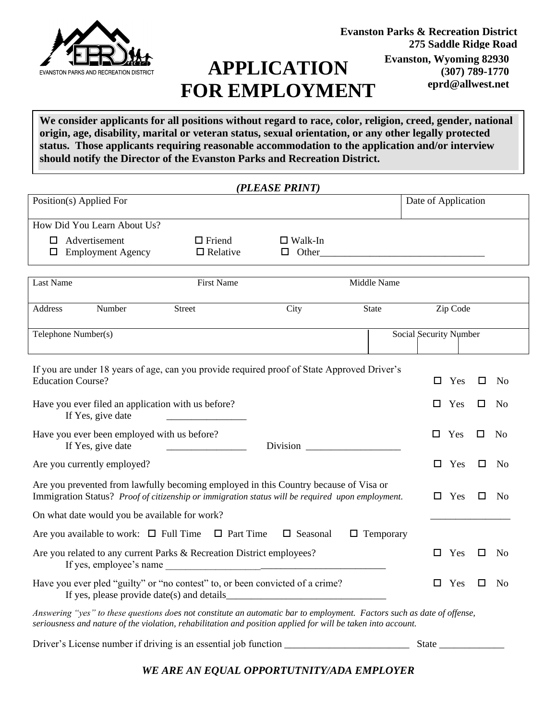

# **APPLICATION FOR EMPLOYMENT**

**We consider applicants for all positions without regard to race, color, religion, creed, gender, national origin, age, disability, marital or veteran status, sexual orientation, or any other legally protected status. Those applicants requiring reasonable accommodation to the application and/or interview should notify the Director of the Evanston Parks and Recreation District.** 

|           |                                                                                                                                                                                                                                                                                                         |                                  | (PLEASE PRINT)                 |                  |                        |                     |     |   |                |
|-----------|---------------------------------------------------------------------------------------------------------------------------------------------------------------------------------------------------------------------------------------------------------------------------------------------------------|----------------------------------|--------------------------------|------------------|------------------------|---------------------|-----|---|----------------|
|           | Position(s) Applied For                                                                                                                                                                                                                                                                                 |                                  |                                |                  |                        | Date of Application |     |   |                |
|           | How Did You Learn About Us?                                                                                                                                                                                                                                                                             |                                  |                                |                  |                        |                     |     |   |                |
| П.        | Advertisement<br>$\Box$ Employment Agency                                                                                                                                                                                                                                                               | $\Box$ Friend<br>$\Box$ Relative | $\Box$ Walk-In<br>$\Box$ Other |                  |                        |                     |     |   |                |
| Last Name |                                                                                                                                                                                                                                                                                                         | <b>First Name</b>                |                                | Middle Name      |                        |                     |     |   |                |
| Address   | Number                                                                                                                                                                                                                                                                                                  | Street                           | City                           | <b>State</b>     |                        | Zip Code            |     |   |                |
|           | Telephone Number(s)                                                                                                                                                                                                                                                                                     |                                  |                                |                  | Social Security Number |                     |     |   |                |
|           | If you are under 18 years of age, can you provide required proof of State Approved Driver's<br><b>Education Course?</b>                                                                                                                                                                                 |                                  |                                |                  |                        | Yes<br>$\Box$       |     | □ | No.            |
|           | Have you ever filed an application with us before?<br>If Yes, give date                                                                                                                                                                                                                                 |                                  |                                |                  |                        | Yes<br>$\Box$       |     | □ | No             |
|           | Have you ever been employed with us before?<br>If Yes, give date                                                                                                                                                                                                                                        |                                  | <b>Division</b>                |                  |                        | $\Box$ Yes          |     | □ | N <sub>0</sub> |
|           | Are you currently employed?                                                                                                                                                                                                                                                                             |                                  |                                |                  |                        | $\Box$              | Yes | □ | N <sub>0</sub> |
|           | Are you prevented from lawfully becoming employed in this Country because of Visa or<br>Immigration Status? Proof of citizenship or immigration status will be required upon employment.                                                                                                                |                                  |                                |                  |                        | Yes<br>□            |     | □ | N <sub>0</sub> |
|           | On what date would you be available for work?                                                                                                                                                                                                                                                           |                                  |                                |                  |                        |                     |     |   |                |
|           | Are you available to work: $\Box$ Full Time $\Box$ Part Time                                                                                                                                                                                                                                            |                                  | $\Box$ Seasonal                | $\Box$ Temporary |                        |                     |     |   |                |
|           | Are you related to any current Parks & Recreation District employees?<br>If yes, employee's name example and the contract of the same state of the same state of the same state of the same state of the same state of the same state of the same state of the same state of the same state of the same |                                  |                                |                  |                        | $\Box$ Yes          |     | □ | N <sub>0</sub> |
|           | Have you ever pled "guilty" or "no contest" to, or been convicted of a crime?<br>If yes, please provide date(s) and details                                                                                                                                                                             |                                  |                                |                  |                        | $\Box$ Yes          |     | □ | No             |
|           | Answering "yes" to these questions does not constitute an automatic bar to employment. Factors such as date of offense,<br>seriousness and nature of the violation, rehabilitation and position applied for will be taken into account.                                                                 |                                  |                                |                  |                        |                     |     |   |                |

Driver's License number if driving is an essential job function \_\_\_\_\_\_\_\_\_\_\_\_\_\_\_\_\_\_\_\_\_\_\_\_\_ State \_\_\_\_\_\_\_\_\_\_\_\_\_

*WE ARE AN EQUAL OPPORTUTNITY/ADA EMPLOYER*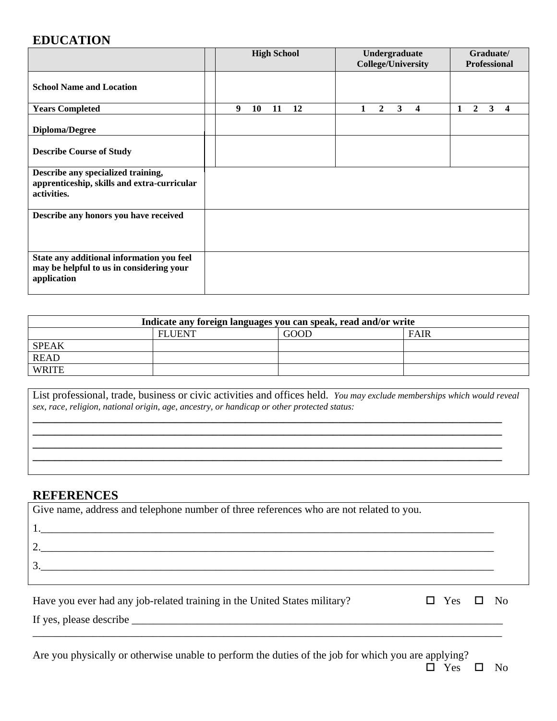### **EDUCATION**

|                                                                                                      | <b>High School</b> |    | Undergraduate<br><b>College/University</b> |    |  | Graduate/<br><b>Professional</b> |   |   |   |   |              |   |                         |
|------------------------------------------------------------------------------------------------------|--------------------|----|--------------------------------------------|----|--|----------------------------------|---|---|---|---|--------------|---|-------------------------|
| <b>School Name and Location</b>                                                                      |                    |    |                                            |    |  |                                  |   |   |   |   |              |   |                         |
| <b>Years Completed</b>                                                                               | 9                  | 10 | 11                                         | 12 |  | 1                                | 2 | 3 | 4 | 1 | $\mathbf{2}$ | 3 | $\overline{\mathbf{4}}$ |
| <b>Diploma/Degree</b>                                                                                |                    |    |                                            |    |  |                                  |   |   |   |   |              |   |                         |
| <b>Describe Course of Study</b>                                                                      |                    |    |                                            |    |  |                                  |   |   |   |   |              |   |                         |
| Describe any specialized training,<br>apprenticeship, skills and extra-curricular<br>activities.     |                    |    |                                            |    |  |                                  |   |   |   |   |              |   |                         |
| Describe any honors you have received                                                                |                    |    |                                            |    |  |                                  |   |   |   |   |              |   |                         |
| State any additional information you feel<br>may be helpful to us in considering your<br>application |                    |    |                                            |    |  |                                  |   |   |   |   |              |   |                         |

| Indicate any foreign languages you can speak, read and/or write |               |             |             |  |  |  |  |  |
|-----------------------------------------------------------------|---------------|-------------|-------------|--|--|--|--|--|
|                                                                 | <b>FLUENT</b> | <b>GOOD</b> | <b>FAIR</b> |  |  |  |  |  |
| <b>SPEAK</b>                                                    |               |             |             |  |  |  |  |  |
| <b>READ</b>                                                     |               |             |             |  |  |  |  |  |
| <b>WRITE</b>                                                    |               |             |             |  |  |  |  |  |

List professional, trade, business or civic activities and offices held. *You may exclude memberships which would reveal sex, race, religion, national origin, age, ancestry, or handicap or other protected status:*

**\_\_\_\_\_\_\_\_\_\_\_\_\_\_\_\_\_\_\_\_\_\_\_\_\_\_\_\_\_\_\_\_\_\_\_\_\_\_\_\_\_\_\_\_\_\_\_\_\_\_\_\_\_\_\_\_\_\_\_\_\_\_\_\_\_\_\_\_\_\_\_\_\_\_\_\_\_\_\_\_\_\_\_\_\_\_ \_\_\_\_\_\_\_\_\_\_\_\_\_\_\_\_\_\_\_\_\_\_\_\_\_\_\_\_\_\_\_\_\_\_\_\_\_\_\_\_\_\_\_\_\_\_\_\_\_\_\_\_\_\_\_\_\_\_\_\_\_\_\_\_\_\_\_\_\_\_\_\_\_\_\_\_\_\_\_\_\_\_\_\_\_\_ \_\_\_\_\_\_\_\_\_\_\_\_\_\_\_\_\_\_\_\_\_\_\_\_\_\_\_\_\_\_\_\_\_\_\_\_\_\_\_\_\_\_\_\_\_\_\_\_\_\_\_\_\_\_\_\_\_\_\_\_\_\_\_\_\_\_\_\_\_\_\_\_\_\_\_\_\_\_\_\_\_\_\_\_\_\_ \_\_\_\_\_\_\_\_\_\_\_\_\_\_\_\_\_\_\_\_\_\_\_\_\_\_\_\_\_\_\_\_\_\_\_\_\_\_\_\_\_\_\_\_\_\_\_\_\_\_\_\_\_\_\_\_\_\_\_\_\_\_\_\_\_\_\_\_\_\_\_\_\_\_\_\_\_\_\_\_\_\_\_\_\_\_**

#### **REFERENCES**

| Give name, address and telephone number of three references who are not related to you.                                                                                                                                                                                                                                                                                                                                                                      |                      |  |
|--------------------------------------------------------------------------------------------------------------------------------------------------------------------------------------------------------------------------------------------------------------------------------------------------------------------------------------------------------------------------------------------------------------------------------------------------------------|----------------------|--|
|                                                                                                                                                                                                                                                                                                                                                                                                                                                              |                      |  |
| $\begin{array}{c} \n \text{2.} \quad \text{5.} \quad \text{5.} \quad \text{6.} \quad \text{6.} \quad \text{6.} \quad \text{6.} \quad \text{6.} \quad \text{6.} \quad \text{6.} \quad \text{6.} \quad \text{6.} \quad \text{6.} \quad \text{6.} \quad \text{6.} \quad \text{6.} \quad \text{6.} \quad \text{6.} \quad \text{6.} \quad \text{6.} \quad \text{6.} \quad \text{6.} \quad \text{6.} \quad \text{6.} \quad \text{6.} \quad \text{6.} \quad \text{$ |                      |  |
| 3.                                                                                                                                                                                                                                                                                                                                                                                                                                                           |                      |  |
|                                                                                                                                                                                                                                                                                                                                                                                                                                                              |                      |  |
| Have you ever had any job-related training in the United States military?                                                                                                                                                                                                                                                                                                                                                                                    | $\Box$ Yes $\Box$ No |  |
|                                                                                                                                                                                                                                                                                                                                                                                                                                                              |                      |  |

\_\_\_\_\_\_\_\_\_\_\_\_\_\_\_\_\_\_\_\_\_\_\_\_\_\_\_\_\_\_\_\_\_\_\_\_\_\_\_\_\_\_\_\_\_\_\_\_\_\_\_\_\_\_\_\_\_\_\_\_\_\_\_\_\_\_\_\_\_\_\_\_\_\_\_\_\_\_\_\_\_\_\_\_\_\_

Are you physically or otherwise unable to perform the duties of the job for which you are applying?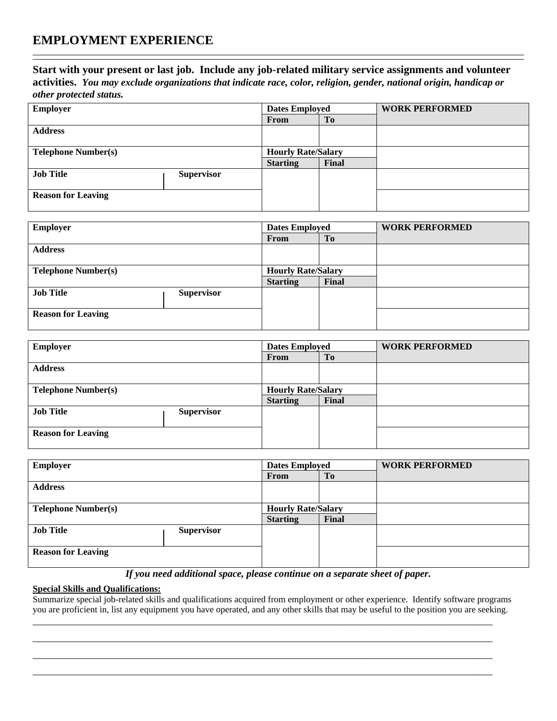#### **Start with your present or last job. Include any job-related military service assignments and volunteer**

**activities.** *You may exclude organizations that indicate race, color, religion, gender, national origin, handicap or other protected status.*

| <b>Employer</b>            | <b>Dates Employed</b> |                           | <b>WORK PERFORMED</b> |  |
|----------------------------|-----------------------|---------------------------|-----------------------|--|
|                            |                       | From                      | T <sub>o</sub>        |  |
| <b>Address</b>             |                       |                           |                       |  |
|                            |                       |                           |                       |  |
| <b>Telephone Number(s)</b> |                       | <b>Hourly Rate/Salary</b> |                       |  |
|                            |                       | <b>Starting</b>           | Final                 |  |
| <b>Job Title</b>           | <b>Supervisor</b>     |                           |                       |  |
|                            |                       |                           |                       |  |
| <b>Reason for Leaving</b>  |                       |                           |                       |  |
|                            |                       |                           |                       |  |

| <b>Employer</b>            |                   | <b>Dates Employed</b>     |       | <b>WORK PERFORMED</b> |
|----------------------------|-------------------|---------------------------|-------|-----------------------|
|                            |                   | From                      | To    |                       |
| <b>Address</b>             |                   |                           |       |                       |
|                            |                   |                           |       |                       |
| <b>Telephone Number(s)</b> |                   | <b>Hourly Rate/Salary</b> |       |                       |
|                            |                   | <b>Starting</b>           | Final |                       |
| <b>Job Title</b>           | <b>Supervisor</b> |                           |       |                       |
|                            |                   |                           |       |                       |
| <b>Reason for Leaving</b>  |                   |                           |       |                       |
|                            |                   |                           |       |                       |

| <b>Employer</b>            | <b>Dates Employed</b> |                           | <b>WORK PERFORMED</b> |  |
|----------------------------|-----------------------|---------------------------|-----------------------|--|
|                            |                       | From                      | To                    |  |
| <b>Address</b>             |                       |                           |                       |  |
|                            |                       |                           |                       |  |
| <b>Telephone Number(s)</b> |                       | <b>Hourly Rate/Salary</b> |                       |  |
|                            |                       | <b>Starting</b>           | Final                 |  |
| <b>Job Title</b>           | <b>Supervisor</b>     |                           |                       |  |
| <b>Reason for Leaving</b>  |                       |                           |                       |  |

| <b>Employer</b>            | <b>Dates Employed</b>     |                 | <b>WORK PERFORMED</b> |  |
|----------------------------|---------------------------|-----------------|-----------------------|--|
|                            |                           | From            | T <sub>0</sub>        |  |
| <b>Address</b>             |                           |                 |                       |  |
|                            |                           |                 |                       |  |
| <b>Telephone Number(s)</b> | <b>Hourly Rate/Salary</b> |                 |                       |  |
|                            |                           | <b>Starting</b> | Final                 |  |
| <b>Job Title</b>           | <b>Supervisor</b>         |                 |                       |  |
|                            |                           |                 |                       |  |
| <b>Reason for Leaving</b>  |                           |                 |                       |  |
|                            |                           |                 |                       |  |

*If you need additional space, please continue on a separate sheet of paper.*

#### **Special Skills and Qualifications:**

Summarize special job-related skills and qualifications acquired from employment or other experience. Identify software programs you are proficient in, list any equipment you have operated, and any other skills that may be useful to the position you are seeking. \_\_\_\_\_\_\_\_\_\_\_\_\_\_\_\_\_\_\_\_\_\_\_\_\_\_\_\_\_\_\_\_\_\_\_\_\_\_\_\_\_\_\_\_\_\_\_\_\_\_\_\_\_\_\_\_\_\_\_\_\_\_\_\_\_\_\_\_\_\_\_\_\_\_\_\_\_\_\_\_\_\_\_\_\_\_\_\_\_\_\_\_

\_\_\_\_\_\_\_\_\_\_\_\_\_\_\_\_\_\_\_\_\_\_\_\_\_\_\_\_\_\_\_\_\_\_\_\_\_\_\_\_\_\_\_\_\_\_\_\_\_\_\_\_\_\_\_\_\_\_\_\_\_\_\_\_\_\_\_\_\_\_\_\_\_\_\_\_\_\_\_\_\_\_\_\_\_\_\_\_\_\_\_\_ \_\_\_\_\_\_\_\_\_\_\_\_\_\_\_\_\_\_\_\_\_\_\_\_\_\_\_\_\_\_\_\_\_\_\_\_\_\_\_\_\_\_\_\_\_\_\_\_\_\_\_\_\_\_\_\_\_\_\_\_\_\_\_\_\_\_\_\_\_\_\_\_\_\_\_\_\_\_\_\_\_\_\_\_\_\_\_\_\_\_\_\_ \_\_\_\_\_\_\_\_\_\_\_\_\_\_\_\_\_\_\_\_\_\_\_\_\_\_\_\_\_\_\_\_\_\_\_\_\_\_\_\_\_\_\_\_\_\_\_\_\_\_\_\_\_\_\_\_\_\_\_\_\_\_\_\_\_\_\_\_\_\_\_\_\_\_\_\_\_\_\_\_\_\_\_\_\_\_\_\_\_\_\_\_